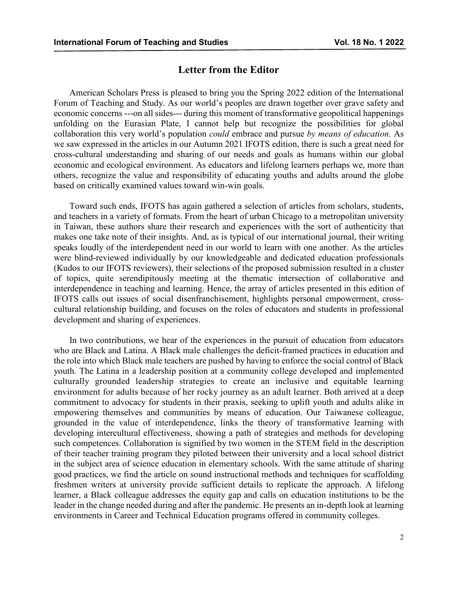## **Letter from the Editor**

American Scholars Press is pleased to bring you the Spring 2022 edition of the International Forum of Teaching and Study. As our world's peoples are drawn together over grave safety and economic concerns ---on all sides--- during this moment of transformative geopolitical happenings unfolding on the Eurasian Plate, I cannot help but recognize the possibilities for global collaboration this very world's population *could* embrace and pursue *by means of education*. As we saw expressed in the articles in our Autumn 2021 IFOTS edition, there is such a great need for cross-cultural understanding and sharing of our needs and goals as humans within our global economic and ecological environment. As educators and lifelong learners perhaps we, more than others, recognize the value and responsibility of educating youths and adults around the globe based on critically examined values toward win-win goals.

Toward such ends, IFOTS has again gathered a selection of articles from scholars, students, and teachers in a variety of formats. From the heart of urban Chicago to a metropolitan university in Taiwan, these authors share their research and experiences with the sort of authenticity that makes one take note of their insights. And, as is typical of our international journal, their writing speaks loudly of the interdependent need in our world to learn with one another. As the articles were blind-reviewed individually by our knowledgeable and dedicated education professionals (Kudos to our IFOTS reviewers), their selections of the proposed submission resulted in a cluster of topics, quite serendipitously meeting at the thematic intersection of collaborative and interdependence in teaching and learning. Hence, the array of articles presented in this edition of IFOTS calls out issues of social disenfranchisement, highlights personal empowerment, crosscultural relationship building, and focuses on the roles of educators and students in professional development and sharing of experiences.

In two contributions, we hear of the experiences in the pursuit of education from educators who are Black and Latina. A Black male challenges the deficit-framed practices in education and the role into which Black male teachers are pushed by having to enforce the social control of Black youth. The Latina in a leadership position at a community college developed and implemented culturally grounded leadership strategies to create an inclusive and equitable learning environment for adults because of her rocky journey as an adult learner. Both arrived at a deep commitment to advocacy for students in their praxis, seeking to uplift youth and adults alike in empowering themselves and communities by means of education. Our Taiwanese colleague, grounded in the value of interdependence, links the theory of transformative learning with developing intercultural effectiveness, showing a path of strategies and methods for developing such competences. Collaboration is signified by two women in the STEM field in the description of their teacher training program they piloted between their university and a local school district in the subject area of science education in elementary schools. With the same attitude of sharing good practices, we find the article on sound instructional methods and techniques for scaffolding freshmen writers at university provide sufficient details to replicate the approach. A lifelong learner, a Black colleague addresses the equity gap and calls on education institutions to be the leader in the change needed during and after the pandemic. He presents an in-depth look at learning environments in Career and Technical Education programs offered in community colleges.